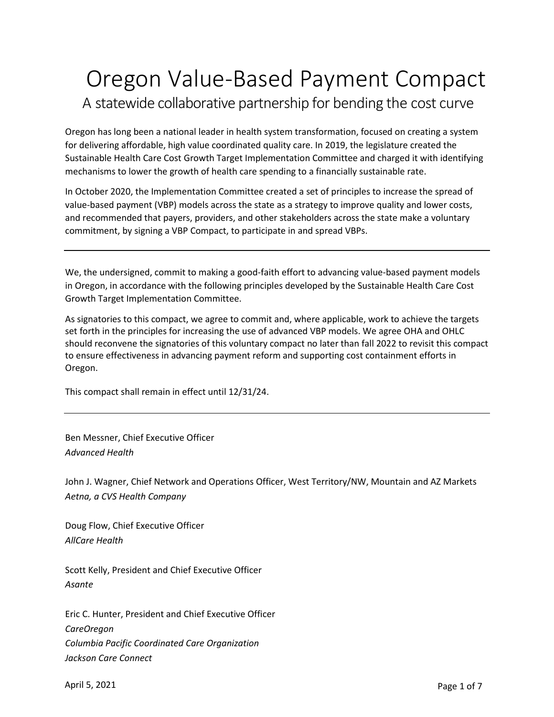## Oregon Value-Based Payment Compact A statewide collaborative partnership for bending the cost curve

Oregon has long been a national leader in health system transformation, focused on creating a system for delivering affordable, high value coordinated quality care. In 2019, the legislature created the Sustainable Health Care Cost Growth Target Implementation Committee and charged it with identifying mechanisms to lower the growth of health care spending to a financially sustainable rate.

In October 2020, the Implementation Committee created a set of principles to increase the spread of value-based payment (VBP) models across the state as a strategy to improve quality and lower costs, and recommended that payers, providers, and other stakeholders across the state make a voluntary commitment, by signing a VBP Compact, to participate in and spread VBPs.

We, the undersigned, commit to making a good-faith effort to advancing value-based payment models in Oregon, in accordance with the following principles developed by the Sustainable Health Care Cost Growth Target Implementation Committee.

As signatories to this compact, we agree to commit and, where applicable, work to achieve the targets set forth in the principles for increasing the use of advanced VBP models. We agree OHA and OHLC should reconvene the signatories of this voluntary compact no later than fall 2022 to revisit this compact to ensure effectiveness in advancing payment reform and supporting cost containment efforts in Oregon.

This compact shall remain in effect until 12/31/24.

Ben Messner, Chief Executive Officer *Advanced Health*

John J. Wagner, Chief Network and Operations Officer, West Territory/NW, Mountain and AZ Markets *Aetna, a CVS Health Company*

Doug Flow, Chief Executive Officer *AllCare Health*

Scott Kelly, President and Chief Executive Officer *Asante*

Eric C. Hunter, President and Chief Executive Officer *CareOregon Columbia Pacific Coordinated Care Organization Jackson Care Connect*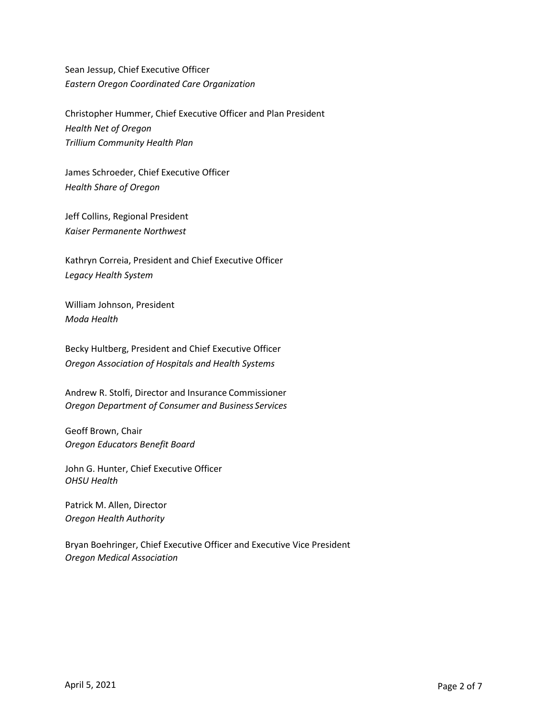Sean Jessup, Chief Executive Officer *Eastern Oregon Coordinated Care Organization*

Christopher Hummer, Chief Executive Officer and Plan President *Health Net of Oregon Trillium Community Health Plan*

James Schroeder, Chief Executive Officer *Health Share of Oregon*

Jeff Collins, Regional President *Kaiser Permanente Northwest*

Kathryn Correia, President and Chief Executive Officer *Legacy Health System*

William Johnson, President *Moda Health*

Becky Hultberg, President and Chief Executive Officer *Oregon Association of Hospitals and Health Systems*

Andrew R. Stolfi, Director and Insurance Commissioner *Oregon Department of Consumer and Business Services*

Geoff Brown, Chair *Oregon Educators Benefit Board* 

John G. Hunter, Chief Executive Officer *OHSU Health*

Patrick M. Allen, Director *Oregon Health Authority*

Bryan Boehringer, Chief Executive Officer and Executive Vice President *Oregon Medical Association*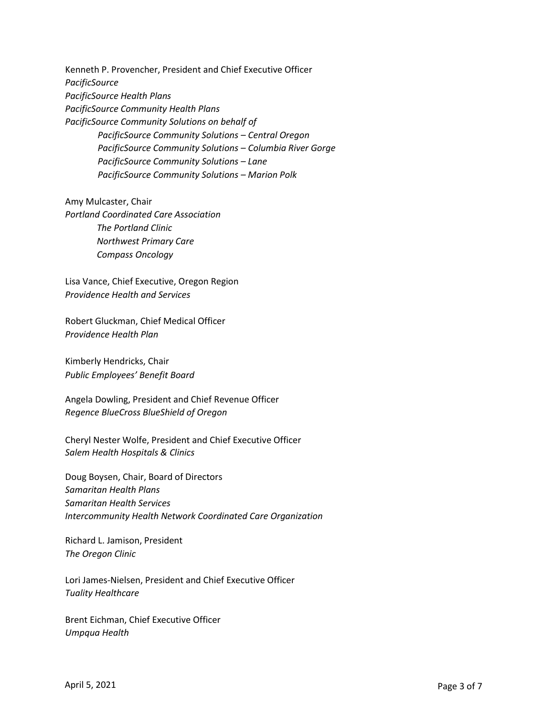Kenneth P. Provencher, President and Chief Executive Officer *PacificSource PacificSource Health Plans PacificSource Community Health Plans PacificSource Community Solutions on behalf of PacificSource Community Solutions – Central Oregon PacificSource Community Solutions – Columbia River Gorge PacificSource Community Solutions – Lane PacificSource Community Solutions – Marion Polk*

Amy Mulcaster, Chair *Portland Coordinated Care Association The Portland Clinic Northwest Primary Care Compass Oncology*

Lisa Vance, Chief Executive, Oregon Region *Providence Health and Services*

Robert Gluckman, Chief Medical Officer *Providence Health Plan*

Kimberly Hendricks, Chair *Public Employees' Benefit Board*

Angela Dowling, President and Chief Revenue Officer *Regence BlueCross BlueShield of Oregon*

Cheryl Nester Wolfe, President and Chief Executive Officer *Salem Health Hospitals & Clinics*

Doug Boysen, Chair, Board of Directors *Samaritan Health Plans Samaritan Health Services Intercommunity Health Network Coordinated Care Organization*

Richard L. Jamison, President *The Oregon Clinic*

Lori James-Nielsen, President and Chief Executive Officer *Tuality Healthcare*

Brent Eichman, Chief Executive Officer *Umpqua Health*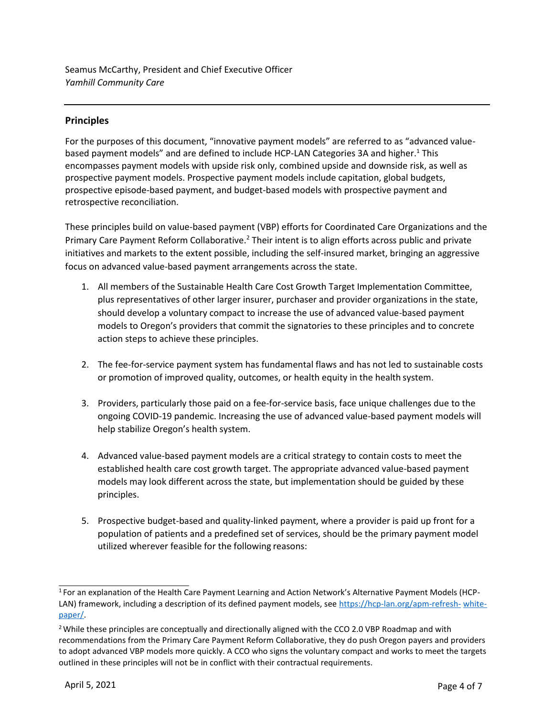Seamus McCarthy, President and Chief Executive Officer *Yamhill Community Care*

## **Principles**

For the purposes of this document, "innovative payment models" are referred to as "advanced valuebased payment models" and are defined to include HCP-LAN Categories 3A and higher.<sup>1</sup> This encompasses payment models with upside risk only, combined upside and downside risk, as well as prospective payment models. Prospective payment models include capitation, global budgets, prospective episode-based payment, and budget-based models with prospective payment and retrospective reconciliation.

These principles build on value-based payment (VBP) efforts for Coordinated Care Organizations and the Primary Care Payment Reform Collaborative.<sup>2</sup> Their intent is to align efforts across public and private initiatives and markets to the extent possible, including the self-insured market, bringing an aggressive focus on advanced value-based payment arrangements across the state.

- 1. All members of the Sustainable Health Care Cost Growth Target Implementation Committee, plus representatives of other larger insurer, purchaser and provider organizations in the state, should develop a voluntary compact to increase the use of advanced value-based payment models to Oregon's providers that commit the signatories to these principles and to concrete action steps to achieve these principles.
- 2. The fee-for-service payment system has fundamental flaws and has not led to sustainable costs or promotion of improved quality, outcomes, or health equity in the health system.
- 3. Providers, particularly those paid on a fee-for-service basis, face unique challenges due to the ongoing COVID-19 pandemic. Increasing the use of advanced value-based payment models will help stabilize Oregon's health system.
- 4. Advanced value-based payment models are a critical strategy to contain costs to meet the established health care cost growth target. The appropriate advanced value-based payment models may look different across the state, but implementation should be guided by these principles.
- 5. Prospective budget-based and quality-linked payment, where a provider is paid up front for a population of patients and a predefined set of services, should be the primary payment model utilized wherever feasible for the following reasons:

<sup>&</sup>lt;sup>1</sup> For an explanation of the Health Care Payment Learning and Action Network's Alternative Payment Models (HCPLAN) framework, including a description of its defined payment models, see [https://hcp-lan.org/apm-refresh-](https://hcp-lan.org/apm-refresh-white-paper/) [white](https://hcp-lan.org/apm-refresh-white-paper/)[paper/.](https://hcp-lan.org/apm-refresh-white-paper/)

<sup>&</sup>lt;sup>2</sup> While these principles are conceptually and directionally aligned with the CCO 2.0 VBP Roadmap and with recommendations from the Primary Care Payment Reform Collaborative, they do push Oregon payers and providers to adopt advanced VBP models more quickly. A CCO who signs the voluntary compact and works to meet the targets outlined in these principles will not be in conflict with their contractual requirements.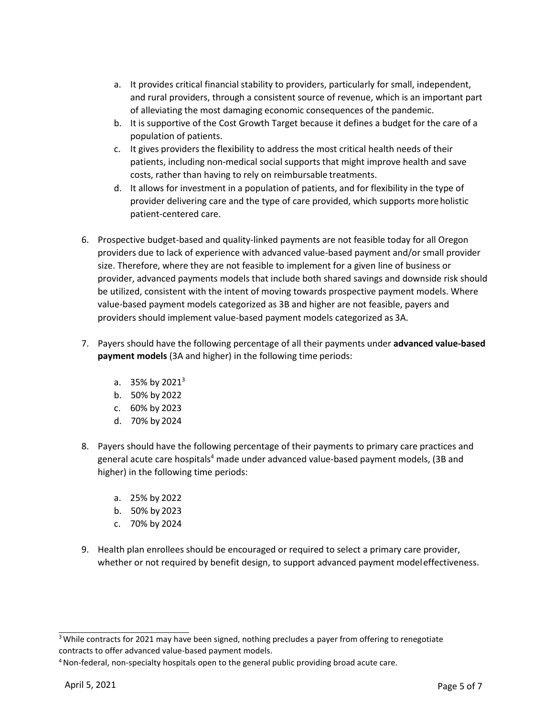- a. It provides critical financial stability to providers, particularly for small, independent, and rural providers, through a consistent source of revenue, which is an important part of alleviating the most damaging economic consequences of the pandemic.
- b. It is supportive of the Cost Growth Target because it defines a budget for the care of a population of patients.
- c. It gives providers the flexibility to address the most critical health needs of their patients, including non-medical social supports that might improve health and save costs, rather than having to rely on reimbursable treatments.
- d. It allows for investment in a population of patients, and for flexibility in the type of provider delivering care and the type of care provided, which supports moreholistic patient-centered care.
- 6. Prospective budget-based and quality-linked payments are not feasible today for all Oregon providers due to lack of experience with advanced value-based payment and/or small provider size. Therefore, where they are not feasible to implement for a given line of business or provider, advanced payments models that include both shared savings and downside risk should be utilized, consistent with the intent of moving towards prospective payment models. Where value-based payment models categorized as 3B and higher are not feasible, payers and providers should implement value-based payment models categorized as 3A.
- 7. Payers should have the following percentage of all their payments under **advanced value-based payment models** (3A and higher) in the following time periods:
	- a.  $35\%$  by 2021<sup>3</sup>
	- b. 50% by 2022
	- c. 60% by 2023
	- d. 70% by 2024
- 8. Payers should have the following percentage of their payments to primary care practices and general acute care hospitals<sup>4</sup> made under advanced value-based payment models, (3B and higher) in the following time periods:
	- a. 25% by 2022
	- b. 50% by 2023
	- c. 70% by 2024
- 9. Health plan enrollees should be encouraged or required to select a primary care provider, whether or not required by benefit design, to support advanced payment modeleffectiveness.

<sup>&</sup>lt;sup>3</sup> While contracts for 2021 may have been signed, nothing precludes a payer from offering to renegotiate contracts to offer advanced value-based payment models.

<sup>&</sup>lt;sup>4</sup> Non-federal, non-specialty hospitals open to the general public providing broad acute care.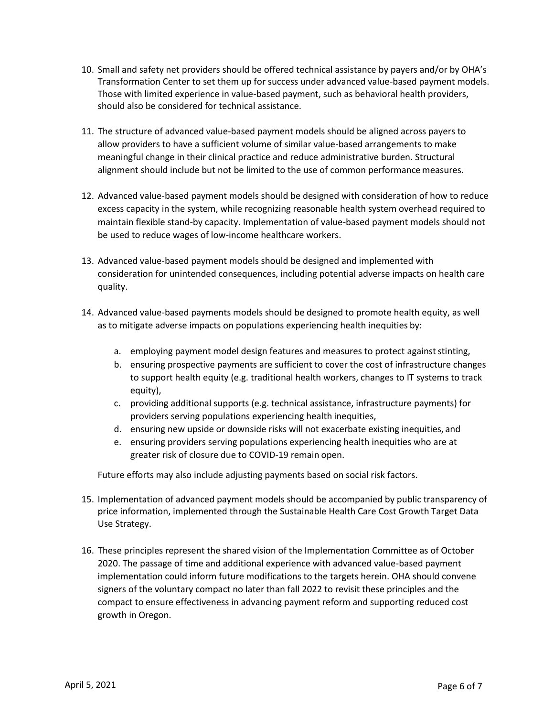- 10. Small and safety net providers should be offered technical assistance by payers and/or by OHA's Transformation Center to set them up for success under advanced value-based payment models. Those with limited experience in value-based payment, such as behavioral health providers, should also be considered for technical assistance.
- 11. The structure of advanced value-based payment models should be aligned across payers to allow providers to have a sufficient volume of similar value-based arrangements to make meaningful change in their clinical practice and reduce administrative burden. Structural alignment should include but not be limited to the use of common performance measures.
- 12. Advanced value-based payment models should be designed with consideration of how to reduce excess capacity in the system, while recognizing reasonable health system overhead required to maintain flexible stand-by capacity. Implementation of value-based payment models should not be used to reduce wages of low-income healthcare workers.
- 13. Advanced value-based payment models should be designed and implemented with consideration for unintended consequences, including potential adverse impacts on health care quality.
- 14. Advanced value-based payments models should be designed to promote health equity, as well as to mitigate adverse impacts on populations experiencing health inequities by:
	- a. employing payment model design features and measures to protect against stinting,
	- b. ensuring prospective payments are sufficient to cover the cost of infrastructure changes to support health equity (e.g. traditional health workers, changes to IT systems to track equity),
	- c. providing additional supports (e.g. technical assistance, infrastructure payments) for providers serving populations experiencing health inequities,
	- d. ensuring new upside or downside risks will not exacerbate existing inequities, and
	- e. ensuring providers serving populations experiencing health inequities who are at greater risk of closure due to COVID-19 remain open.

Future efforts may also include adjusting payments based on social risk factors.

- 15. Implementation of advanced payment models should be accompanied by public transparency of price information, implemented through the Sustainable Health Care Cost Growth Target Data Use Strategy.
- 16. These principles represent the shared vision of the Implementation Committee as of October 2020. The passage of time and additional experience with advanced value-based payment implementation could inform future modifications to the targets herein. OHA should convene signers of the voluntary compact no later than fall 2022 to revisit these principles and the compact to ensure effectiveness in advancing payment reform and supporting reduced cost growth in Oregon.